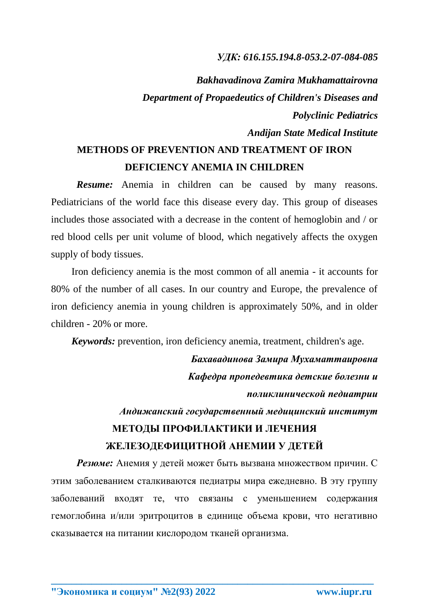## *УДК: 616.155.194.8-053.2-07-084-085*

*Bakhavadinova Zamira Mukhamattairovna Department of Propaedeutics of Children's Diseases and Polyclinic Pediatrics Andijan State Medical Institute*

## **METHODS OF PREVENTION AND TREATMENT OF IRON DEFICIENCY ANEMIA IN CHILDREN**

*Resume:* Anemia in children can be caused by many reasons. Pediatricians of the world face this disease every day. This group of diseases includes those associated with a decrease in the content of hemoglobin and / or red blood cells per unit volume of blood, which negatively affects the oxygen supply of body tissues.

Iron deficiency anemia is the most common of all anemia - it accounts for 80% of the number of all cases. In our country and Europe, the prevalence of iron deficiency anemia in young children is approximately 50%, and in older children - 20% or more.

*Keywords:* prevention, iron deficiency anemia, treatment, children's age.

*Бахавадинова Замира Мухаматтаировна Кафедра пропедевтика детские болезни и поликлинической педиатрии* 

*Андижанский государственный медицинский институт*

## **МЕТОДЫ ПРОФИЛАКТИКИ И ЛЕЧЕНИЯ ЖЕЛЕЗОДЕФИЦИТНОЙ АНЕМИИ У ДЕТЕЙ**

*Резюме:* Анемия у детей может быть вызвана множеством причин. С этим заболеванием сталкиваются педиатры мира ежедневно. В эту группу заболеваний входят те, что связаны с уменьшением содержания гемоглобина и/или эритроцитов в единице объема крови, что негативно сказывается на питании кислородом тканей организма.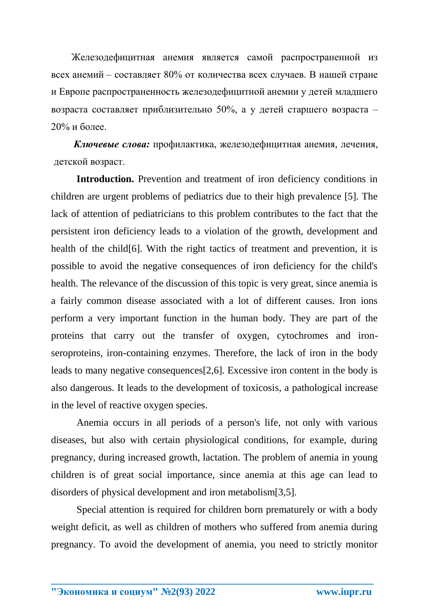Железодефицитная анемия является самой распространенной из всех анемий – составляет 80% от количества всех случаев. В нашей стране и Европе распространенность железодефицитной анемии у детей младшего возраста составляет приблизительно 50%, а у детей старшего возраста – 20% и более.

*Ключевые слова:* профилактика, железодефицитная анемия, лечения, детской возраст.

**Introduction.** Prevention and treatment of iron deficiency conditions in children are urgent problems of pediatrics due to their high prevalence [5]. The lack of attention of pediatricians to this problem contributes to the fact that the persistent iron deficiency leads to a violation of the growth, development and health of the child[6]. With the right tactics of treatment and prevention, it is possible to avoid the negative consequences of iron deficiency for the child's health. The relevance of the discussion of this topic is very great, since anemia is a fairly common disease associated with a lot of different causes. Iron ions perform a very important function in the human body. They are part of the proteins that carry out the transfer of oxygen, cytochromes and ironseroproteins, iron-containing enzymes. Therefore, the lack of iron in the body leads to many negative consequences[2,6]. Excessive iron content in the body is also dangerous. It leads to the development of toxicosis, a pathological increase in the level of reactive oxygen species.

Anemia occurs in all periods of a person's life, not only with various diseases, but also with certain physiological conditions, for example, during pregnancy, during increased growth, lactation. The problem of anemia in young children is of great social importance, since anemia at this age can lead to disorders of physical development and iron metabolism[3,5].

Special attention is required for children born prematurely or with a body weight deficit, as well as children of mothers who suffered from anemia during pregnancy. To avoid the development of anemia, you need to strictly monitor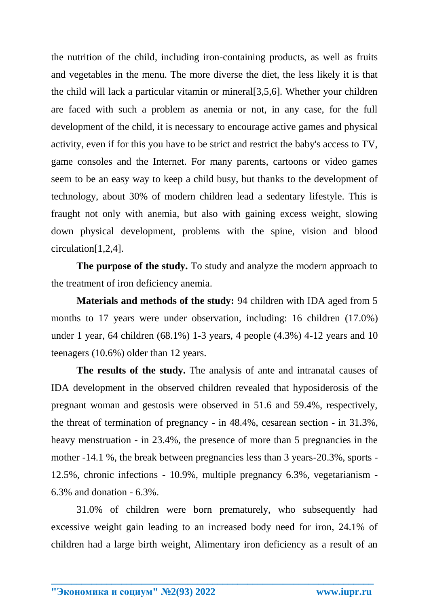the nutrition of the child, including iron-containing products, as well as fruits and vegetables in the menu. The more diverse the diet, the less likely it is that the child will lack a particular vitamin or mineral[3,5,6]. Whether your children are faced with such a problem as anemia or not, in any case, for the full development of the child, it is necessary to encourage active games and physical activity, even if for this you have to be strict and restrict the baby's access to TV, game consoles and the Internet. For many parents, cartoons or video games seem to be an easy way to keep a child busy, but thanks to the development of technology, about 30% of modern children lead a sedentary lifestyle. This is fraught not only with anemia, but also with gaining excess weight, slowing down physical development, problems with the spine, vision and blood circulation[1,2,4].

**The purpose of the study.** To study and analyze the modern approach to the treatment of iron deficiency anemia.

**Materials and methods of the study:** 94 children with IDA aged from 5 months to 17 years were under observation, including: 16 children (17.0%) under 1 year, 64 children (68.1%) 1-3 years, 4 people (4.3%) 4-12 years and 10 teenagers (10.6%) older than 12 years.

**The results of the study.** The analysis of ante and intranatal causes of IDA development in the observed children revealed that hyposiderosis of the pregnant woman and gestosis were observed in 51.6 and 59.4%, respectively, the threat of termination of pregnancy - in 48.4%, cesarean section - in 31.3%, heavy menstruation - in 23.4%, the presence of more than 5 pregnancies in the mother -14.1 %, the break between pregnancies less than 3 years-20.3%, sports - 12.5%, chronic infections - 10.9%, multiple pregnancy 6.3%, vegetarianism - 6.3% and donation - 6.3%.

31.0% of children were born prematurely, who subsequently had excessive weight gain leading to an increased body need for iron, 24.1% of children had a large birth weight, Alimentary iron deficiency as a result of an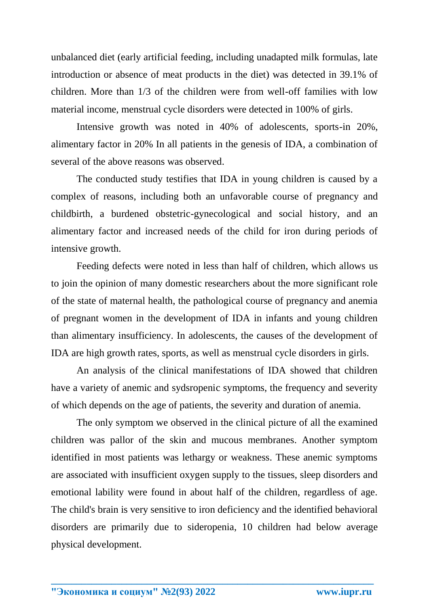unbalanced diet (early artificial feeding, including unadapted milk formulas, late introduction or absence of meat products in the diet) was detected in 39.1% of children. More than 1/3 of the children were from well-off families with low material income, menstrual cycle disorders were detected in 100% of girls.

Intensive growth was noted in 40% of adolescents, sports-in 20%, alimentary factor in 20% In all patients in the genesis of IDA, a combination of several of the above reasons was observed.

The conducted study testifies that IDA in young children is caused by a complex of reasons, including both an unfavorable course of pregnancy and childbirth, a burdened obstetric-gynecological and social history, and an alimentary factor and increased needs of the child for iron during periods of intensive growth.

Feeding defects were noted in less than half of children, which allows us to join the opinion of many domestic researchers about the more significant role of the state of maternal health, the pathological course of pregnancy and anemia of pregnant women in the development of IDA in infants and young children than alimentary insufficiency. In adolescents, the causes of the development of IDA are high growth rates, sports, as well as menstrual cycle disorders in girls.

An analysis of the clinical manifestations of IDA showed that children have a variety of anemic and sydsropenic symptoms, the frequency and severity of which depends on the age of patients, the severity and duration of anemia.

The only symptom we observed in the clinical picture of all the examined children was pallor of the skin and mucous membranes. Another symptom identified in most patients was lethargy or weakness. These anemic symptoms are associated with insufficient oxygen supply to the tissues, sleep disorders and emotional lability were found in about half of the children, regardless of age. The child's brain is very sensitive to iron deficiency and the identified behavioral disorders are primarily due to sideropenia, 10 children had below average physical development.